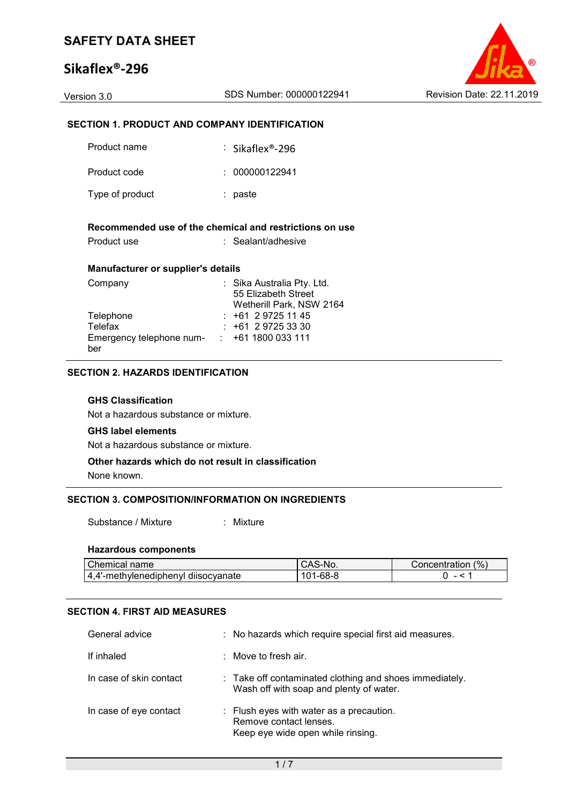# **Sikaflex®-296**



## **SECTION 1. PRODUCT AND COMPANY IDENTIFICATION**

| Product name                       | $:$ Sikaflex®-296                                                             |
|------------------------------------|-------------------------------------------------------------------------------|
| Product code                       | : 000000122941                                                                |
| Type of product                    | : paste                                                                       |
| Product use                        | Recommended use of the chemical and restrictions on use<br>: Sealant/adhesive |
| Manufacturer or supplier's details |                                                                               |
| Company                            | : Sika Australia Pty. Ltd.<br>55 Elizabeth Street<br>Wetherill Park, NSW 2164 |
| Telephone                          | : +61 2 9725 11 45                                                            |
| Telefax                            | +61 2 9725 33 30                                                              |
| Emergency telephone num- :<br>ber  | +61 1800 033 111                                                              |

### **SECTION 2. HAZARDS IDENTIFICATION**

#### **GHS Classification**

Not a hazardous substance or mixture.

#### **GHS label elements**

Not a hazardous substance or mixture.

#### **Other hazards which do not result in classification**

None known.

#### **SECTION 3. COMPOSITION/INFORMATION ON INGREDIENTS**

Substance / Mixture : Mixture

#### **Hazardous components**

| Chemical name∴                           | ⊡NU. | (%<br>Concentration |
|------------------------------------------|------|---------------------|
| diisocvanate<br>'-methylenediphenyl<br>- |      |                     |

### **SECTION 4. FIRST AID MEASURES**

| General advice          | : No hazards which require special first aid measures.                                                  |
|-------------------------|---------------------------------------------------------------------------------------------------------|
| If inhaled              | $\therefore$ Move to fresh air.                                                                         |
| In case of skin contact | : Take off contaminated clothing and shoes immediately.<br>Wash off with soap and plenty of water.      |
| In case of eye contact  | : Flush eyes with water as a precaution.<br>Remove contact lenses.<br>Keep eye wide open while rinsing. |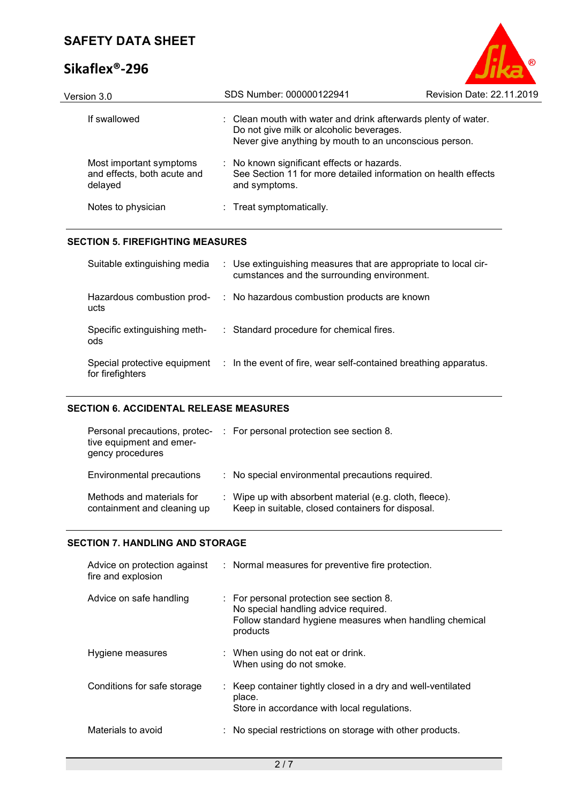# **Sikaflex®-296**



| Version 3.0                                                       | SDS Number: 000000122941                                                                                                                                             | Revision Date: 22.11.2019 |
|-------------------------------------------------------------------|----------------------------------------------------------------------------------------------------------------------------------------------------------------------|---------------------------|
| If swallowed                                                      | : Clean mouth with water and drink afterwards plenty of water.<br>Do not give milk or alcoholic beverages.<br>Never give anything by mouth to an unconscious person. |                           |
| Most important symptoms<br>and effects, both acute and<br>delayed | : No known significant effects or hazards.<br>See Section 11 for more detailed information on health effects<br>and symptoms.                                        |                           |
| Notes to physician                                                | : Treat symptomatically.                                                                                                                                             |                           |
|                                                                   |                                                                                                                                                                      |                           |

#### **SECTION 5. FIREFIGHTING MEASURES**

| Suitable extinguishing media                     | : Use extinguishing measures that are appropriate to local cir-<br>cumstances and the surrounding environment. |
|--------------------------------------------------|----------------------------------------------------------------------------------------------------------------|
| Hazardous combustion prod-<br>ucts               | : No hazardous combustion products are known                                                                   |
| Specific extinguishing meth-<br>ods              | : Standard procedure for chemical fires.                                                                       |
| Special protective equipment<br>for firefighters | $\therefore$ In the event of fire, wear self-contained breathing apparatus.                                    |

### **SECTION 6. ACCIDENTAL RELEASE MEASURES**

| Personal precautions, protec-<br>tive equipment and emer-<br>gency procedures | : For personal protection see section 8.                                                                     |
|-------------------------------------------------------------------------------|--------------------------------------------------------------------------------------------------------------|
| Environmental precautions                                                     | : No special environmental precautions required.                                                             |
| Methods and materials for<br>containment and cleaning up                      | : Wipe up with absorbent material (e.g. cloth, fleece).<br>Keep in suitable, closed containers for disposal. |

#### **SECTION 7. HANDLING AND STORAGE**

| Advice on protection against<br>fire and explosion | : Normal measures for preventive fire protection.                                                                                                       |
|----------------------------------------------------|---------------------------------------------------------------------------------------------------------------------------------------------------------|
| Advice on safe handling                            | : For personal protection see section 8.<br>No special handling advice required.<br>Follow standard hygiene measures when handling chemical<br>products |
| Hygiene measures                                   | : When using do not eat or drink.<br>When using do not smoke.                                                                                           |
| Conditions for safe storage                        | : Keep container tightly closed in a dry and well-ventilated<br>place.<br>Store in accordance with local regulations.                                   |
| Materials to avoid                                 | : No special restrictions on storage with other products.                                                                                               |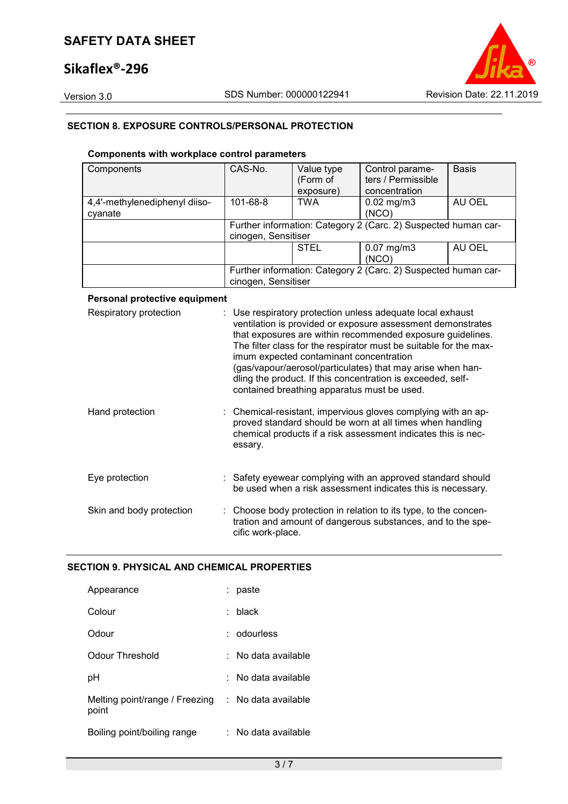# **Sikaflex®-296**



### **SECTION 8. EXPOSURE CONTROLS/PERSONAL PROTECTION**

### **Components with workplace control parameters**

| Components                    | CAS-No.             | Value type<br>(Form of<br>exposure) | Control parame-<br>ters / Permissible<br>concentration         | <b>Basis</b> |
|-------------------------------|---------------------|-------------------------------------|----------------------------------------------------------------|--------------|
| 4,4'-methylenediphenyl diiso- | 101-68-8            | <b>TWA</b>                          | $0.02$ mg/m $3$                                                | AU OEL       |
| cyanate                       |                     |                                     | (NCO)                                                          |              |
|                               | cinogen, Sensitiser |                                     | Further information: Category 2 (Carc. 2) Suspected human car- |              |
|                               |                     | <b>STEL</b>                         | $0.07$ mg/m $3$<br>(NCO)                                       | AU OEL       |
|                               | cinogen, Sensitiser |                                     | Further information: Category 2 (Carc. 2) Suspected human car- |              |

### **Personal protective equipment**

| Respiratory protection   | : Use respiratory protection unless adequate local exhaust<br>ventilation is provided or exposure assessment demonstrates<br>that exposures are within recommended exposure guidelines.<br>The filter class for the respirator must be suitable for the max-<br>imum expected contaminant concentration<br>(gas/vapour/aerosol/particulates) that may arise when han-<br>dling the product. If this concentration is exceeded, self-<br>contained breathing apparatus must be used. |
|--------------------------|-------------------------------------------------------------------------------------------------------------------------------------------------------------------------------------------------------------------------------------------------------------------------------------------------------------------------------------------------------------------------------------------------------------------------------------------------------------------------------------|
| Hand protection          | : Chemical-resistant, impervious gloves complying with an ap-<br>proved standard should be worn at all times when handling<br>chemical products if a risk assessment indicates this is nec-<br>essary.                                                                                                                                                                                                                                                                              |
| Eye protection           | : Safety eyewear complying with an approved standard should<br>be used when a risk assessment indicates this is necessary.                                                                                                                                                                                                                                                                                                                                                          |
| Skin and body protection | : Choose body protection in relation to its type, to the concen-<br>tration and amount of dangerous substances, and to the spe-<br>cific work-place.                                                                                                                                                                                                                                                                                                                                |

#### **SECTION 9. PHYSICAL AND CHEMICAL PROPERTIES**

| Appearance                              | paste               |
|-----------------------------------------|---------------------|
| Colour                                  | <b>black</b>        |
| Odour                                   | : odourless         |
| Odour Threshold                         | ∶ No data available |
| рH                                      | No data available   |
| Melting point/range / Freezing<br>point | : No data available |
| Boiling point/boiling range             | No data available   |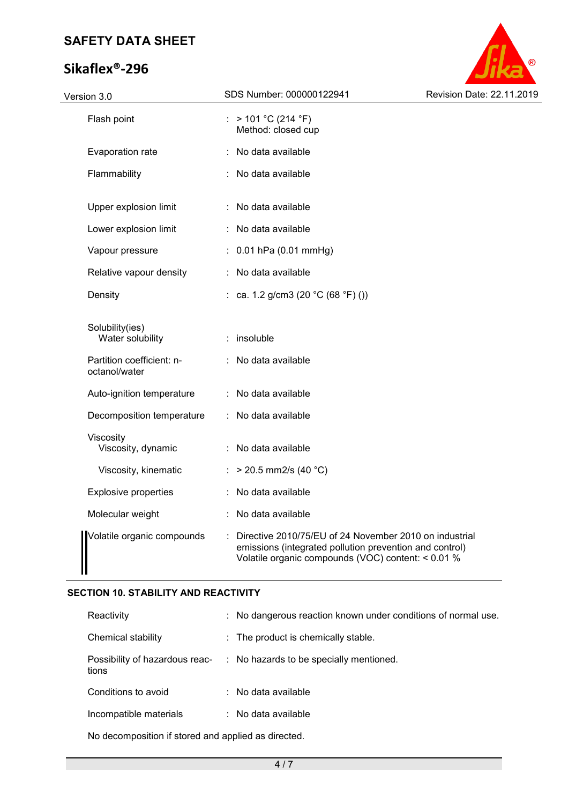# **Sikaflex®-296**



| Version 3.0                                | SDS Number: 000000122941                                                                                                                                                | Revision Date: 22.11.2019 |
|--------------------------------------------|-------------------------------------------------------------------------------------------------------------------------------------------------------------------------|---------------------------|
| Flash point                                | : $> 101 °C (214 °F)$<br>Method: closed cup                                                                                                                             |                           |
| Evaporation rate                           | : No data available                                                                                                                                                     |                           |
| Flammability                               | : No data available                                                                                                                                                     |                           |
| Upper explosion limit                      | : No data available                                                                                                                                                     |                           |
| Lower explosion limit                      | : No data available                                                                                                                                                     |                           |
| Vapour pressure                            | $: 0.01$ hPa (0.01 mmHg)                                                                                                                                                |                           |
| Relative vapour density                    | : No data available                                                                                                                                                     |                           |
| Density                                    | : ca. 1.2 g/cm3 (20 $^{\circ}$ C (68 $^{\circ}$ F) ())                                                                                                                  |                           |
| Solubility(ies)<br>Water solubility        | : insoluble                                                                                                                                                             |                           |
| Partition coefficient: n-<br>octanol/water | : No data available                                                                                                                                                     |                           |
| Auto-ignition temperature                  | : No data available                                                                                                                                                     |                           |
| Decomposition temperature                  | : No data available                                                                                                                                                     |                           |
| Viscosity<br>Viscosity, dynamic            | : No data available                                                                                                                                                     |                           |
| Viscosity, kinematic                       | : > 20.5 mm2/s (40 °C)                                                                                                                                                  |                           |
| <b>Explosive properties</b>                | : No data available                                                                                                                                                     |                           |
| Molecular weight                           | : No data available                                                                                                                                                     |                           |
| Volatile organic compounds                 | Directive 2010/75/EU of 24 November 2010 on industrial<br>emissions (integrated pollution prevention and control)<br>Volatile organic compounds (VOC) content: < 0.01 % |                           |

### **SECTION 10. STABILITY AND REACTIVITY**

| Reactivity                              | : No dangerous reaction known under conditions of normal use. |
|-----------------------------------------|---------------------------------------------------------------|
| Chemical stability                      | : The product is chemically stable.                           |
| Possibility of hazardous reac-<br>tions | : No hazards to be specially mentioned.                       |
| Conditions to avoid                     | $:$ No data available                                         |
| Incompatible materials                  | $:$ No data available                                         |
|                                         |                                                               |

No decomposition if stored and applied as directed.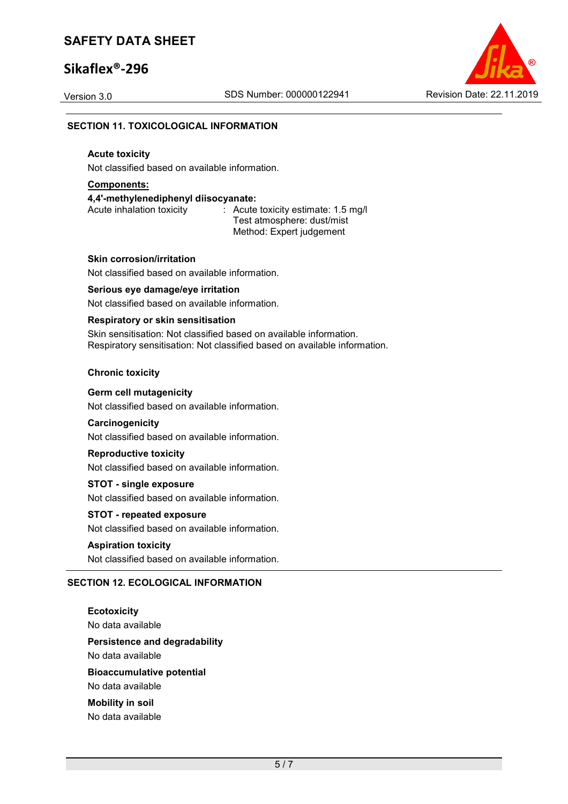# **Sikaflex®-296**

Version 3.0 SDS Number: 000000122941 Revision Date: 22.11.2019



### **SECTION 11. TOXICOLOGICAL INFORMATION**

### **Acute toxicity**

Not classified based on available information.

## **Components:**

**4,4'-methylenediphenyl diisocyanate:** 

Acute inhalation toxicity : Acute toxicity estimate: 1.5 mg/l Test atmosphere: dust/mist Method: Expert judgement

#### **Skin corrosion/irritation**

Not classified based on available information.

#### **Serious eye damage/eye irritation**

Not classified based on available information.

### **Respiratory or skin sensitisation**

Skin sensitisation: Not classified based on available information. Respiratory sensitisation: Not classified based on available information.

#### **Chronic toxicity**

### **Germ cell mutagenicity**

Not classified based on available information.

#### **Carcinogenicity**

Not classified based on available information.

#### **Reproductive toxicity**

Not classified based on available information.

#### **STOT - single exposure**

Not classified based on available information.

#### **STOT - repeated exposure**

Not classified based on available information.

#### **Aspiration toxicity**

Not classified based on available information.

### **SECTION 12. ECOLOGICAL INFORMATION**

**Ecotoxicity**  No data available **Persistence and degradability**  No data available **Bioaccumulative potential**  No data available **Mobility in soil**  No data available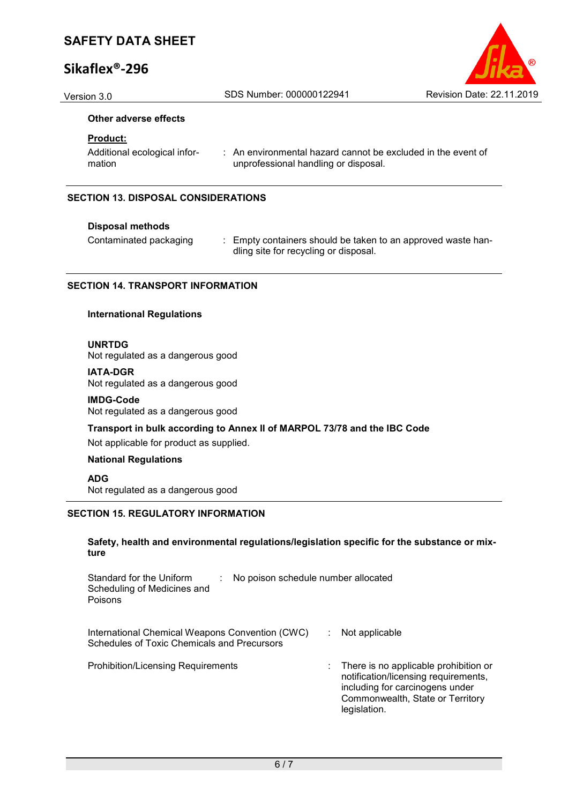# **Sikaflex®-296**

#### **Other adverse effects**

### **Product:**

Additional ecological information

: An environmental hazard cannot be excluded in the event of unprofessional handling or disposal.

#### **SECTION 13. DISPOSAL CONSIDERATIONS**

#### **Disposal methods**

Contaminated packaging : Empty containers should be taken to an approved waste handling site for recycling or disposal.

#### **SECTION 14. TRANSPORT INFORMATION**

#### **International Regulations**

#### **UNRTDG**

Not regulated as a dangerous good

#### **IATA-DGR**

Not regulated as a dangerous good

#### **IMDG-Code**

Not regulated as a dangerous good

#### **Transport in bulk according to Annex II of MARPOL 73/78 and the IBC Code**

Not applicable for product as supplied.

### **National Regulations**

**ADG**

Not regulated as a dangerous good

#### **SECTION 15. REGULATORY INFORMATION**

**Safety, health and environmental regulations/legislation specific for the substance or mixture** 

| Standard for the Uniform<br>No poison schedule number allocated<br>Scheduling of Medicines and<br>Poisons |                                                                                                                                                                      |
|-----------------------------------------------------------------------------------------------------------|----------------------------------------------------------------------------------------------------------------------------------------------------------------------|
| International Chemical Weapons Convention (CWC)<br>Schedules of Toxic Chemicals and Precursors            | Not applicable                                                                                                                                                       |
| Prohibition/Licensing Requirements                                                                        | There is no applicable prohibition or<br>notification/licensing requirements.<br>including for carcinogens under<br>Commonwealth, State or Territory<br>legislation. |